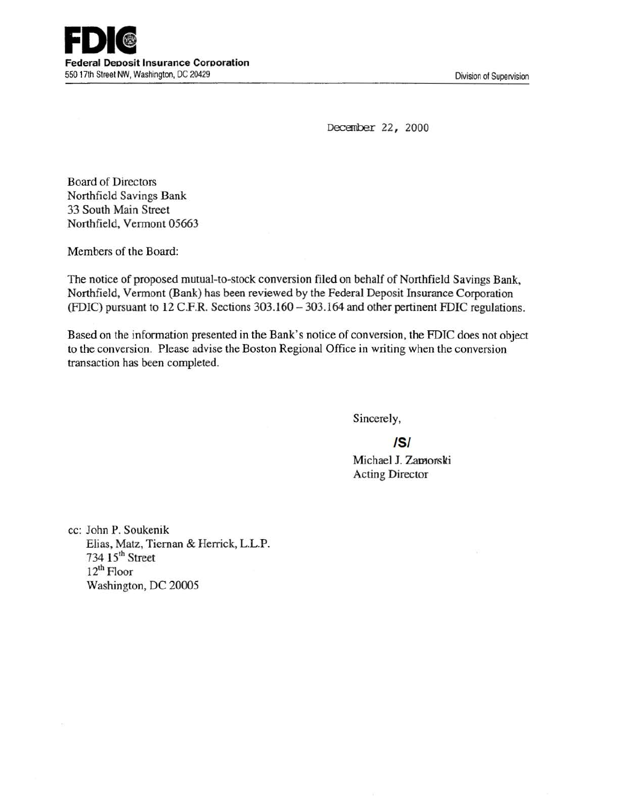

December 22, 2000

Board of Directors Northfield Savings Bank 33 South Main Street Northfield, Vermont 05663

Members of the Board:

The notice of proposed mutual-to-stock conversion filed on behalf of Northfield Savings Bank, Northfield, Vermont (Bank) has been reviewed by the Federal Deposit Insurance Corporation (FDIC) pursuant to 12 C.F.R. Sections 303.160 – 303.164 and other pertinent FDIC regulations.

Based on the information presented in the Bank's notice of conversion, the FDIC does not object to the conversion. Please advise the Boston Regional Office in writing when the conversion transaction has been completed.

Sincerely,

IS/

Michael J. Zamorski Acting Director

cc: John P. Soukenik Elias, Matz, Tiernan & Herrick, L.L.P. 734 15<sup>th</sup> Street 12<sup>th</sup> Floor Washington, DC 20005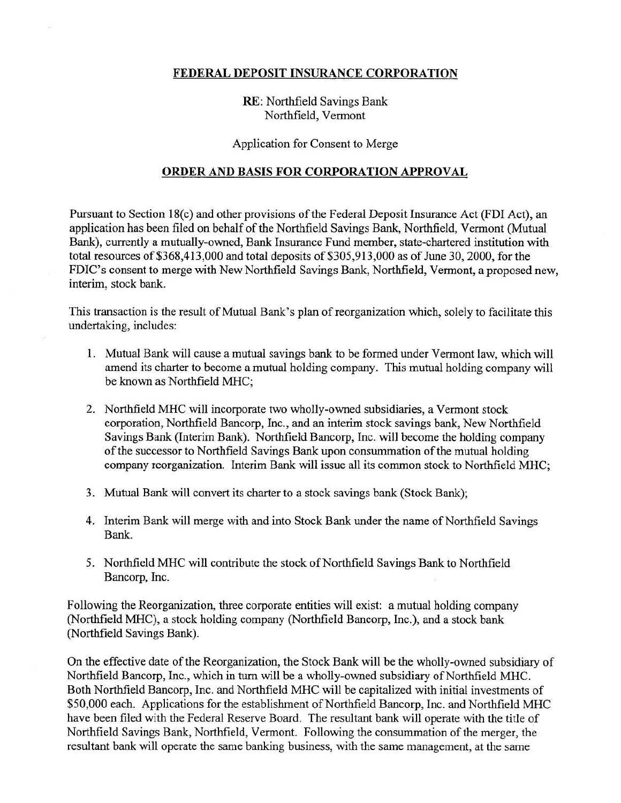# FEDERAL DEPOSIT INSURANCE CORPORATION

# RE: Northfield Savings Bank Northfield, Vermont

#### Application for Consent to Merge

## ORDER AND BASIS FOR CORPORATION APPROVAL

Pursuant to Section 18(c) and other provisions of the Federal Deposit Insurance Act (FDI Act), an application has been filed on behalf of the Northfield Savings Bank, Northfield, Vermont (Mutual Bank), currently a mutually-owned, Bank Insurance Fund member, state-chartered institution with total resources of \$368,413,000 and total deposits of \$305,913,000 as of June 30, 2000, for the FDIC's consent to merge with New Northfield Savings Bank, Northfield, Vermont, a proposed new, interim, stock bank.

This transaction is the result of Mutual Bank's plan of reorganization which, solely to facilitate this undertaking, includes:

- l. Mutual Bank will cause a mutual savings bank to be formed under Vermont law, which will amend its charter to become a mutual holding company. This mutual holding company will be known as Northfield MHC;
- 2. Northfield MHC will incorporate two wholly-owned subsidiaries, a Vermont stock corporation, Northfield Bancorp, Inc., and an interim stock savings bank, New Northfield Savings Bank (Interim Bank). Northfield Bancorp, Inc. will become the holding company of the successor to Northfield Savings Bank upon consununation of the mutual holding company reorganization. Interim Bank will issue all its common stock to Northfield MHC;
- 3. Mutual Bank will convert its charter to a stock savings bank (Stock Bank);
- 4. Interim Bank will merge with and into Stock Bank under the name of Northfield Savings Bank.
- 5. Northfield MHC will contribute the stock of Northfield Savings Bank to Northfield Bancorp, Inc.

Following the Reorganization, three corporate entities will exist: a mutual holding company (Northfield MHC), a stock holding company (Northfield Bancorp, Inc.), and a stock bank (Northfield Savings Bank).

On the effective date of the Reorganization, the Stock Bank will be the wholly-owned subsidiary of Northfield Bancorp, Inc., which in turn will be a wholly-owned subsidiary of Northfield MHC. Both Northfield Bancorp, Inc. and Northfield MHC will be capitalized with initial investments of \$50,000 each. Applications for the establishment of Northfield Bancorp, Inc. and Northfield MHC have been filed with the Federal Reserve Board. The resultant bank will operate with the title of Northfield Savings Bank, Northfield, Vermont. Following the consummation of the merger, the resultant bank will operate the same banking business, with the same management, at the same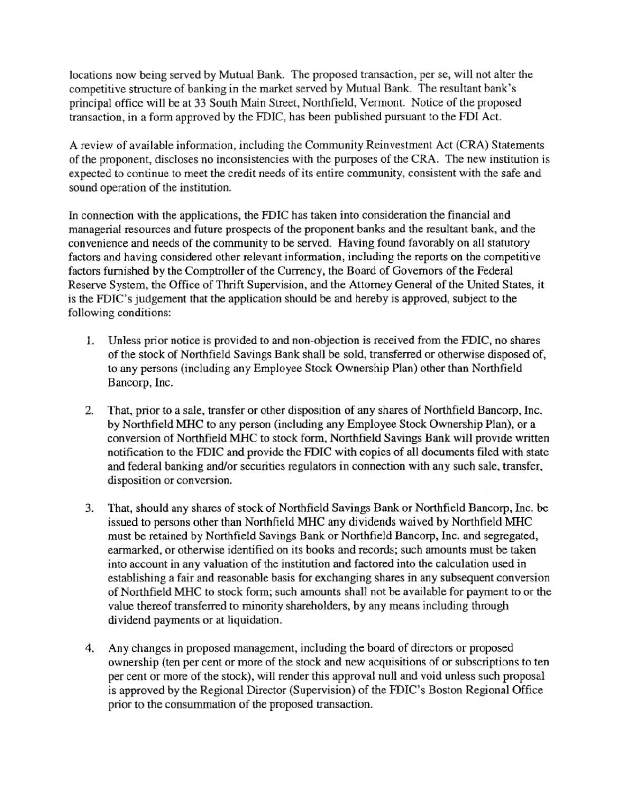locations now being served by Mutual Bank. The proposed transaction, per se, will not alter the competitive structure of banking in the market served by Mutual Bank. The resultant bank's principal office will be at 33 South Main Street, Northfield, Vermont. Notice of the proposed transaction, in a form approved by the FDIC, has been published pursuant to the FDI Act.

A review of available information, including the Community Reinvestment Act (CRA) Statements of the proponent, discloses no inconsistencies with the purposes of the CRA. The new institution is expected to continue to meet the credit needs of its entire community, consistent with the safe and sound operation of the institution.

In connection with the applications, the FDIC has taken into consideration the financial and managerial resources and future prospects of the proponent banks and the resultant bank, and the convenience and needs of the community to be served. Having found favorably on all statutory factors and having considered other relevant information, including the reports on the competitive factors furnished by the Comptroller of the Currency, the Board of Governors of the Federal Reserve System, the Office of Thrift Supervision, and the Attorney General of the United States, it is the FDIC's judgement that the application should be and hereby is approved, subject to the following conditions:

- 1. Unless prior notice is provided to and non-objection is received from the FDIC, no shares of the stock of Northfield Savings Bank shall be sold, transferred or otherwise disposed of, to any persons (including any Employee Stock Ownership Plan) other than Northfield Bancorp, Inc.
- 2. That, prior to a sale, transfer or other disposition of any shares of Northfield Bancorp, Inc. by Northfield MHC to any person (including any Employee Stock Ownership Plan), or a conversion of Northfield MHC to stock form, Northfield Savings Bank will provide written notification to the FDIC and provide the FDIC with copies of all documents filed with state and federal banking and/or securities regulators in connection with any such sale, transfer, disposition or conversion.
- 3. That, should any shares of stock of Northfield Savings Bank or Northfield Bancorp, Inc. be issued to persons other than Northfield MHC any dividends waived by Northfield MHC must be retained by Northfield Savings Bank or Northfield Bancorp, Inc. and segregated, earmarked, or otherwise identified on its books and records; such amounts must be taken into account in any valuation of the institution and factored into the calculation used in establishing a fair and reasonable basis for exchanging shares in any subsequent conversion of Northfield MHC to stock form; such amounts shall not be available for payment to or the value thereof transferred to minority shareholders, by any means including through dividend payments or at liquidation.
- 4. Any changes in proposed management, including the board of directors or proposed ownership (ten per cent or more of the stock and new acquisitions of or subscriptions to ten per cent or more of the stock), will render this approval null and void unless such proposal is approved by the Regional Director (Supervision) of the FDIC's Boston Regional Office prior to the consummation of the proposed transaction.